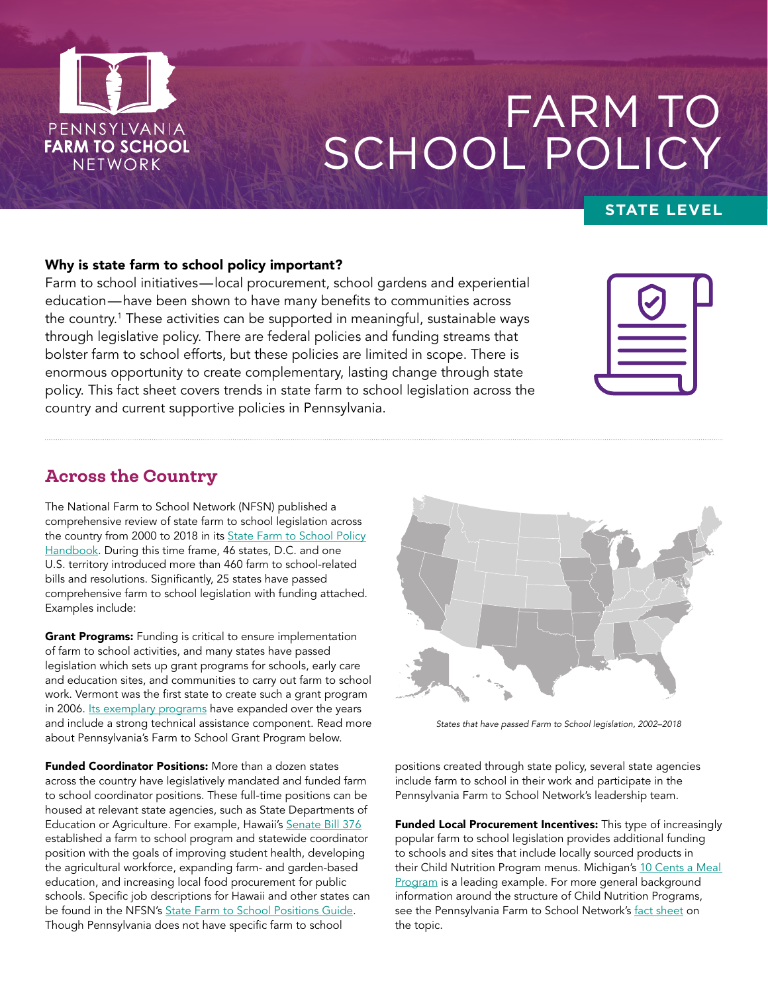

# FARM TO SCHOOL POLICY

## **STATE LEVEL**

## Why is state farm to school policy important?

Farm to school initiatives—local procurement, school gardens and experiential education—have been shown to have many benefits to communities across the country.1 These activities can be supported in meaningful, sustainable ways through legislative policy. There are federal policies and funding streams that bolster farm to school efforts, but these policies are limited in scope. There is enormous opportunity to create complementary, lasting change through state policy. This fact sheet covers trends in state farm to school legislation across the country and current supportive policies in Pennsylvania.

## Across the Country

The National Farm to School Network (NFSN) published a comprehensive review of state farm to school legislation across the country from 2000 to 2018 in its [State Farm to School Policy](http://www.farmtoschool.org/Resources/State%20Farm%20to%20School%20Policy%20Handbook.pdf) [Handbook](http://www.farmtoschool.org/Resources/State%20Farm%20to%20School%20Policy%20Handbook.pdf). During this time frame, 46 states, D.C. and one U.S. territory introduced more than 460 farm to school-related bills and resolutions. Significantly, 25 states have passed comprehensive farm to school legislation with funding attached. Examples include:

**Grant Programs:** Funding is critical to ensure implementation of farm to school activities, and many states have passed legislation which sets up grant programs for schools, early care and education sites, and communities to carry out farm to school work. Vermont was the first state to create such a grant program in 2006. [Its exemplary programs](https://agriculture.vermont.gov/businessdevelopment/farm-school-institution) have expanded over the years and include a strong technical assistance component. Read more about Pennsylvania's Farm to School Grant Program below.

**Funded Coordinator Positions:** More than a dozen states across the country have legislatively mandated and funded farm to school coordinator positions. These full-time positions can be housed at relevant state agencies, such as State Departments of Education or Agriculture. For example, Hawaii's [Senate Bill 376](https://www.capitol.hawaii.gov/session2015/bills/SB376_CD1_.pdf) established a farm to school program and statewide coordinator position with the goals of improving student health, developing the agricultural workforce, expanding farm- and garden-based education, and increasing local food procurement for public schools. Specific job descriptions for Hawaii and other states can be found in the NFSN's [State Farm to School Positions Guide.](http://www.farmtoschool.org/Resources/State%20Farm%20to%20School%20Positions%20Guide.pdf) Though Pennsylvania does not have specific farm to school



*States that have passed Farm to School legislation, 2002–2018*

positions created through state policy, several state agencies include farm to school in their work and participate in the Pennsylvania Farm to School Network's leadership team.

Funded Local Procurement Incentives: This type of increasingly popular farm to school legislation provides additional funding to schools and sites that include locally sourced products in their Child Nutrition Program menus. Michigan's 10 Cents a Meal [Program](https://www.tencentsmichigan.org/) is a leading example. For more general background information around the structure of Child Nutrition Programs, see the Pennsylvania Farm to School Network's [fact sheet](https://pafarmtoschool.org/wp-content/uploads/2021/05/PF2SN_CNPsheet_FINAL_highres2.pdf) on the topic.